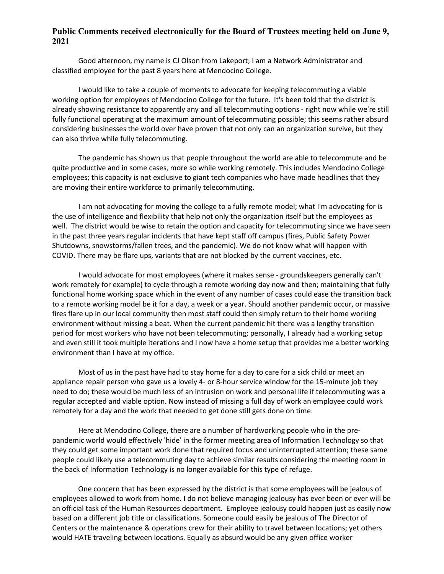## **Public Comments received electronically for the Board of Trustees meeting held on June 9, 2021**

Good afternoon, my name is CJ Olson from Lakeport; I am a Network Administrator and classified employee for the past 8 years here at Mendocino College.

I would like to take a couple of moments to advocate for keeping telecommuting a viable working option for employees of Mendocino College for the future. It's been told that the district is already showing resistance to apparently any and all telecommuting options - right now while we're still fully functional operating at the maximum amount of telecommuting possible; this seems rather absurd considering businesses the world over have proven that not only can an organization survive, but they can also thrive while fully telecommuting.

The pandemic has shown us that people throughout the world are able to telecommute and be quite productive and in some cases, more so while working remotely. This includes Mendocino College employees; this capacity is not exclusive to giant tech companies who have made headlines that they are moving their entire workforce to primarily telecommuting.

I am not advocating for moving the college to a fully remote model; what I'm advocating for is the use of intelligence and flexibility that help not only the organization itself but the employees as well. The district would be wise to retain the option and capacity for telecommuting since we have seen in the past three years regular incidents that have kept staff off campus (fires, Public Safety Power Shutdowns, snowstorms/fallen trees, and the pandemic). We do not know what will happen with COVID. There may be flare ups, variants that are not blocked by the current vaccines, etc.

I would advocate for most employees (where it makes sense - groundskeepers generally can't work remotely for example) to cycle through a remote working day now and then; maintaining that fully functional home working space which in the event of any number of cases could ease the transition back to a remote working model be it for a day, a week or a year. Should another pandemic occur, or massive fires flare up in our local community then most staff could then simply return to their home working environment without missing a beat. When the current pandemic hit there was a lengthy transition period for most workers who have not been telecommuting; personally, I already had a working setup and even still it took multiple iterations and I now have a home setup that provides me a better working environment than I have at my office.

Most of us in the past have had to stay home for a day to care for a sick child or meet an appliance repair person who gave us a lovely 4- or 8-hour service window for the 15-minute job they need to do; these would be much less of an intrusion on work and personal life if telecommuting was a regular accepted and viable option. Now instead of missing a full day of work an employee could work remotely for a day and the work that needed to get done still gets done on time.

Here at Mendocino College, there are a number of hardworking people who in the prepandemic world would effectively 'hide' in the former meeting area of Information Technology so that they could get some important work done that required focus and uninterrupted attention; these same people could likely use a telecommuting day to achieve similar results considering the meeting room in the back of Information Technology is no longer available for this type of refuge.

One concern that has been expressed by the district is that some employees will be jealous of employees allowed to work from home. I do not believe managing jealousy has ever been or ever will be an official task of the Human Resources department. Employee jealousy could happen just as easily now based on a different job title or classifications. Someone could easily be jealous of The Director of Centers or the maintenance & operations crew for their ability to travel between locations; yet others would HATE traveling between locations. Equally as absurd would be any given office worker